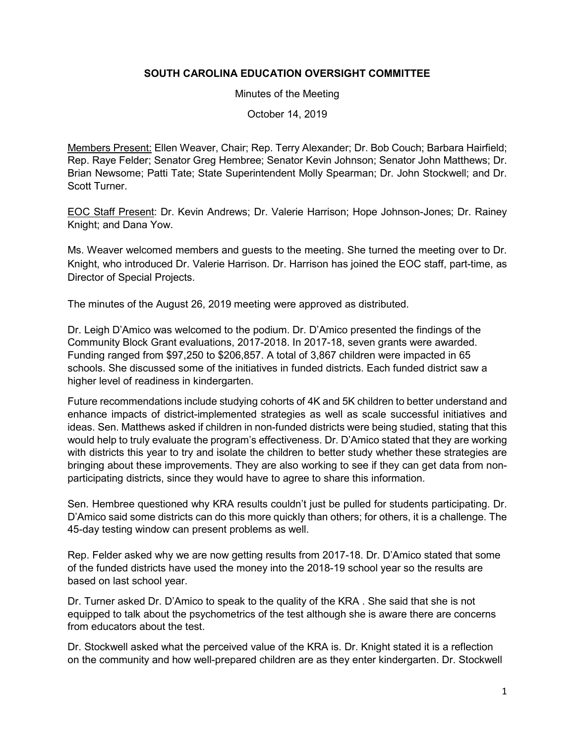## **SOUTH CAROLINA EDUCATION OVERSIGHT COMMITTEE**

Minutes of the Meeting

October 14, 2019

Members Present: Ellen Weaver, Chair; Rep. Terry Alexander; Dr. Bob Couch; Barbara Hairfield; Rep. Raye Felder; Senator Greg Hembree; Senator Kevin Johnson; Senator John Matthews; Dr. Brian Newsome; Patti Tate; State Superintendent Molly Spearman; Dr. John Stockwell; and Dr. Scott Turner.

EOC Staff Present: Dr. Kevin Andrews; Dr. Valerie Harrison; Hope Johnson-Jones; Dr. Rainey Knight; and Dana Yow.

Ms. Weaver welcomed members and guests to the meeting. She turned the meeting over to Dr. Knight, who introduced Dr. Valerie Harrison. Dr. Harrison has joined the EOC staff, part-time, as Director of Special Projects.

The minutes of the August 26, 2019 meeting were approved as distributed.

Dr. Leigh D'Amico was welcomed to the podium. Dr. D'Amico presented the findings of the Community Block Grant evaluations, 2017-2018. In 2017-18, seven grants were awarded. Funding ranged from \$97,250 to \$206,857. A total of 3,867 children were impacted in 65 schools. She discussed some of the initiatives in funded districts. Each funded district saw a higher level of readiness in kindergarten.

Future recommendations include studying cohorts of 4K and 5K children to better understand and enhance impacts of district-implemented strategies as well as scale successful initiatives and ideas. Sen. Matthews asked if children in non-funded districts were being studied, stating that this would help to truly evaluate the program's effectiveness. Dr. D'Amico stated that they are working with districts this year to try and isolate the children to better study whether these strategies are bringing about these improvements. They are also working to see if they can get data from nonparticipating districts, since they would have to agree to share this information.

Sen. Hembree questioned why KRA results couldn't just be pulled for students participating. Dr. D'Amico said some districts can do this more quickly than others; for others, it is a challenge. The 45-day testing window can present problems as well.

Rep. Felder asked why we are now getting results from 2017-18. Dr. D'Amico stated that some of the funded districts have used the money into the 2018-19 school year so the results are based on last school year.

Dr. Turner asked Dr. D'Amico to speak to the quality of the KRA . She said that she is not equipped to talk about the psychometrics of the test although she is aware there are concerns from educators about the test.

Dr. Stockwell asked what the perceived value of the KRA is. Dr. Knight stated it is a reflection on the community and how well-prepared children are as they enter kindergarten. Dr. Stockwell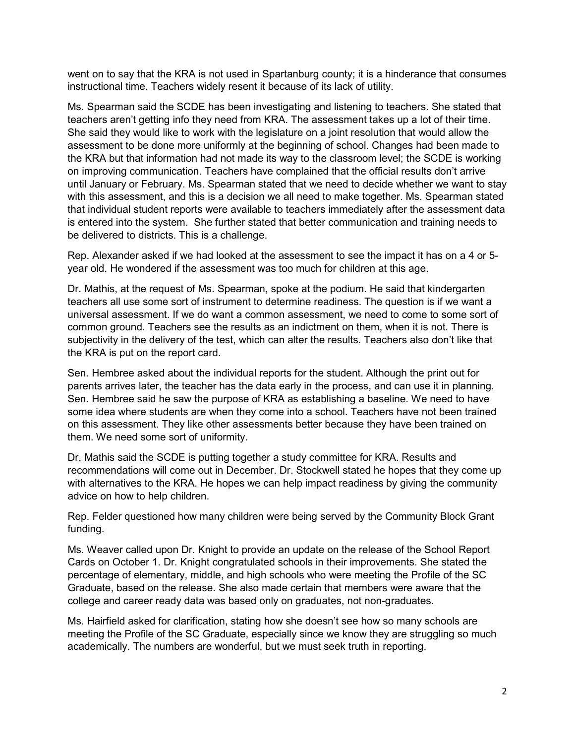went on to say that the KRA is not used in Spartanburg county; it is a hinderance that consumes instructional time. Teachers widely resent it because of its lack of utility.

Ms. Spearman said the SCDE has been investigating and listening to teachers. She stated that teachers aren't getting info they need from KRA. The assessment takes up a lot of their time. She said they would like to work with the legislature on a joint resolution that would allow the assessment to be done more uniformly at the beginning of school. Changes had been made to the KRA but that information had not made its way to the classroom level; the SCDE is working on improving communication. Teachers have complained that the official results don't arrive until January or February. Ms. Spearman stated that we need to decide whether we want to stay with this assessment, and this is a decision we all need to make together. Ms. Spearman stated that individual student reports were available to teachers immediately after the assessment data is entered into the system. She further stated that better communication and training needs to be delivered to districts. This is a challenge.

Rep. Alexander asked if we had looked at the assessment to see the impact it has on a 4 or 5 year old. He wondered if the assessment was too much for children at this age.

Dr. Mathis, at the request of Ms. Spearman, spoke at the podium. He said that kindergarten teachers all use some sort of instrument to determine readiness. The question is if we want a universal assessment. If we do want a common assessment, we need to come to some sort of common ground. Teachers see the results as an indictment on them, when it is not. There is subjectivity in the delivery of the test, which can alter the results. Teachers also don't like that the KRA is put on the report card.

Sen. Hembree asked about the individual reports for the student. Although the print out for parents arrives later, the teacher has the data early in the process, and can use it in planning. Sen. Hembree said he saw the purpose of KRA as establishing a baseline. We need to have some idea where students are when they come into a school. Teachers have not been trained on this assessment. They like other assessments better because they have been trained on them. We need some sort of uniformity.

Dr. Mathis said the SCDE is putting together a study committee for KRA. Results and recommendations will come out in December. Dr. Stockwell stated he hopes that they come up with alternatives to the KRA. He hopes we can help impact readiness by giving the community advice on how to help children.

Rep. Felder questioned how many children were being served by the Community Block Grant funding.

Ms. Weaver called upon Dr. Knight to provide an update on the release of the School Report Cards on October 1. Dr. Knight congratulated schools in their improvements. She stated the percentage of elementary, middle, and high schools who were meeting the Profile of the SC Graduate, based on the release. She also made certain that members were aware that the college and career ready data was based only on graduates, not non-graduates.

Ms. Hairfield asked for clarification, stating how she doesn't see how so many schools are meeting the Profile of the SC Graduate, especially since we know they are struggling so much academically. The numbers are wonderful, but we must seek truth in reporting.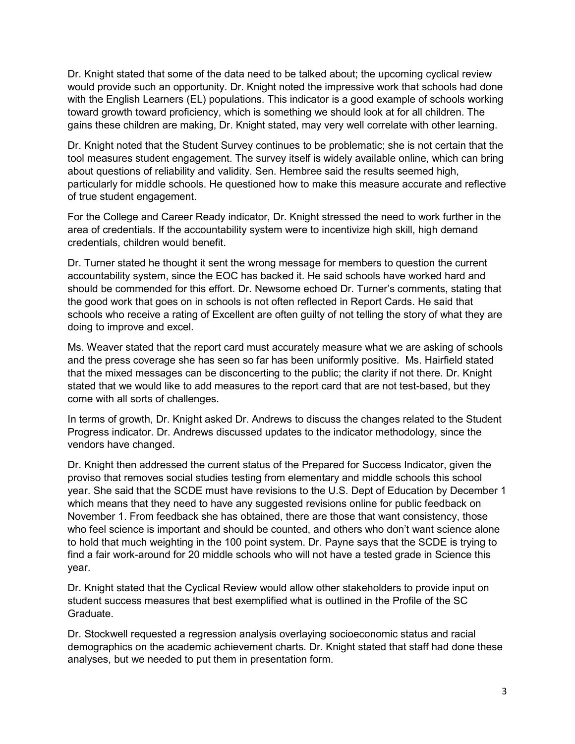Dr. Knight stated that some of the data need to be talked about; the upcoming cyclical review would provide such an opportunity. Dr. Knight noted the impressive work that schools had done with the English Learners (EL) populations. This indicator is a good example of schools working toward growth toward proficiency, which is something we should look at for all children. The gains these children are making, Dr. Knight stated, may very well correlate with other learning.

Dr. Knight noted that the Student Survey continues to be problematic; she is not certain that the tool measures student engagement. The survey itself is widely available online, which can bring about questions of reliability and validity. Sen. Hembree said the results seemed high, particularly for middle schools. He questioned how to make this measure accurate and reflective of true student engagement.

For the College and Career Ready indicator, Dr. Knight stressed the need to work further in the area of credentials. If the accountability system were to incentivize high skill, high demand credentials, children would benefit.

Dr. Turner stated he thought it sent the wrong message for members to question the current accountability system, since the EOC has backed it. He said schools have worked hard and should be commended for this effort. Dr. Newsome echoed Dr. Turner's comments, stating that the good work that goes on in schools is not often reflected in Report Cards. He said that schools who receive a rating of Excellent are often guilty of not telling the story of what they are doing to improve and excel.

Ms. Weaver stated that the report card must accurately measure what we are asking of schools and the press coverage she has seen so far has been uniformly positive. Ms. Hairfield stated that the mixed messages can be disconcerting to the public; the clarity if not there. Dr. Knight stated that we would like to add measures to the report card that are not test-based, but they come with all sorts of challenges.

In terms of growth, Dr. Knight asked Dr. Andrews to discuss the changes related to the Student Progress indicator. Dr. Andrews discussed updates to the indicator methodology, since the vendors have changed.

Dr. Knight then addressed the current status of the Prepared for Success Indicator, given the proviso that removes social studies testing from elementary and middle schools this school year. She said that the SCDE must have revisions to the U.S. Dept of Education by December 1 which means that they need to have any suggested revisions online for public feedback on November 1. From feedback she has obtained, there are those that want consistency, those who feel science is important and should be counted, and others who don't want science alone to hold that much weighting in the 100 point system. Dr. Payne says that the SCDE is trying to find a fair work-around for 20 middle schools who will not have a tested grade in Science this year.

Dr. Knight stated that the Cyclical Review would allow other stakeholders to provide input on student success measures that best exemplified what is outlined in the Profile of the SC Graduate.

Dr. Stockwell requested a regression analysis overlaying socioeconomic status and racial demographics on the academic achievement charts. Dr. Knight stated that staff had done these analyses, but we needed to put them in presentation form.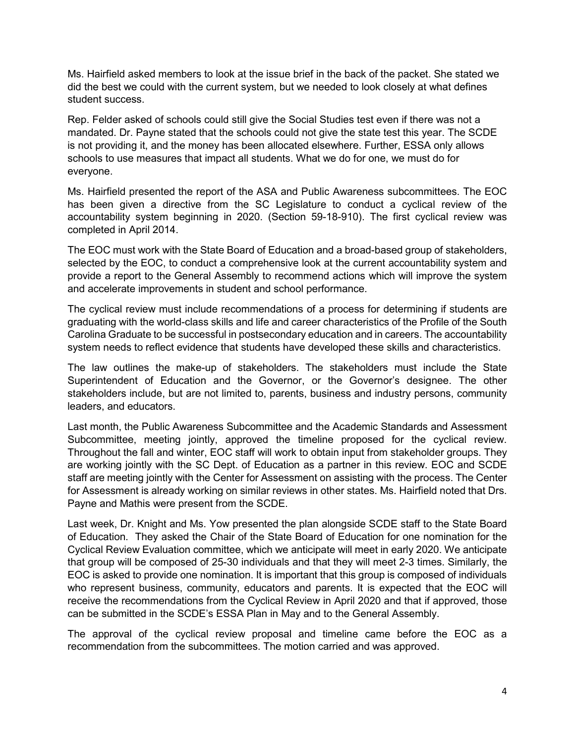Ms. Hairfield asked members to look at the issue brief in the back of the packet. She stated we did the best we could with the current system, but we needed to look closely at what defines student success.

Rep. Felder asked of schools could still give the Social Studies test even if there was not a mandated. Dr. Payne stated that the schools could not give the state test this year. The SCDE is not providing it, and the money has been allocated elsewhere. Further, ESSA only allows schools to use measures that impact all students. What we do for one, we must do for everyone.

Ms. Hairfield presented the report of the ASA and Public Awareness subcommittees. The EOC has been given a directive from the SC Legislature to conduct a cyclical review of the accountability system beginning in 2020. (Section 59-18-910). The first cyclical review was completed in April 2014.

The EOC must work with the State Board of Education and a broad-based group of stakeholders, selected by the EOC, to conduct a comprehensive look at the current accountability system and provide a report to the General Assembly to recommend actions which will improve the system and accelerate improvements in student and school performance.

The cyclical review must include recommendations of a process for determining if students are graduating with the world-class skills and life and career characteristics of the Profile of the South Carolina Graduate to be successful in postsecondary education and in careers. The accountability system needs to reflect evidence that students have developed these skills and characteristics.

The law outlines the make-up of stakeholders. The stakeholders must include the State Superintendent of Education and the Governor, or the Governor's designee. The other stakeholders include, but are not limited to, parents, business and industry persons, community leaders, and educators.

Last month, the Public Awareness Subcommittee and the Academic Standards and Assessment Subcommittee, meeting jointly, approved the timeline proposed for the cyclical review. Throughout the fall and winter, EOC staff will work to obtain input from stakeholder groups. They are working jointly with the SC Dept. of Education as a partner in this review. EOC and SCDE staff are meeting jointly with the Center for Assessment on assisting with the process. The Center for Assessment is already working on similar reviews in other states. Ms. Hairfield noted that Drs. Payne and Mathis were present from the SCDE.

Last week, Dr. Knight and Ms. Yow presented the plan alongside SCDE staff to the State Board of Education. They asked the Chair of the State Board of Education for one nomination for the Cyclical Review Evaluation committee, which we anticipate will meet in early 2020. We anticipate that group will be composed of 25-30 individuals and that they will meet 2-3 times. Similarly, the EOC is asked to provide one nomination. It is important that this group is composed of individuals who represent business, community, educators and parents. It is expected that the EOC will receive the recommendations from the Cyclical Review in April 2020 and that if approved, those can be submitted in the SCDE's ESSA Plan in May and to the General Assembly.

The approval of the cyclical review proposal and timeline came before the EOC as a recommendation from the subcommittees. The motion carried and was approved.